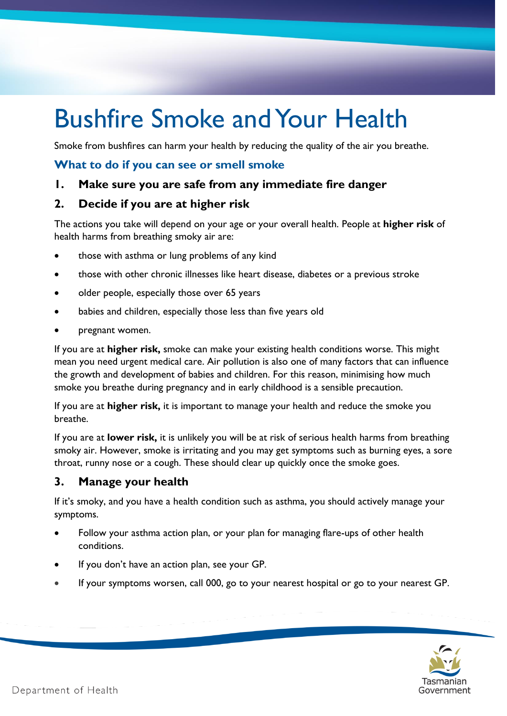# Bushfire Smoke and Your Health

Smoke from bushfires can harm your health by reducing the quality of the air you breathe.

## **What to do if you can see or smell smoke**

# **1. Make sure you are safe from any immediate fire danger**

#### **2. Decide if you are at higher risk**

The actions you take will depend on your age or your overall health. People at **higher risk** of health harms from breathing smoky air are:

- those with asthma or lung problems of any kind
- those with other chronic illnesses like heart disease, diabetes or a previous stroke
- older people, especially those over 65 years
- babies and children, especially those less than five years old
- pregnant women.

If you are at **higher risk,** smoke can make your existing health conditions worse. This might mean you need urgent medical care. Air pollution is also one of many factors that can influence the growth and development of babies and children. For this reason, minimising how much smoke you breathe during pregnancy and in early childhood is a sensible precaution.

If you are at **higher risk,** it is important to manage your health and reduce the smoke you breathe.

If you are at **lower risk,** it is unlikely you will be at risk of serious health harms from breathing smoky air. However, smoke is irritating and you may get symptoms such as burning eyes, a sore throat, runny nose or a cough. These should clear up quickly once the smoke goes.

# **3. Manage your health**

If it's smoky, and you have a health condition such as asthma, you should actively manage your symptoms.

- Follow your asthma action plan, or your plan for managing flare-ups of other health conditions.
- If you don't have an action plan, see your GP.
- If your symptoms worsen, call 000, go to your nearest hospital or go to your nearest GP.